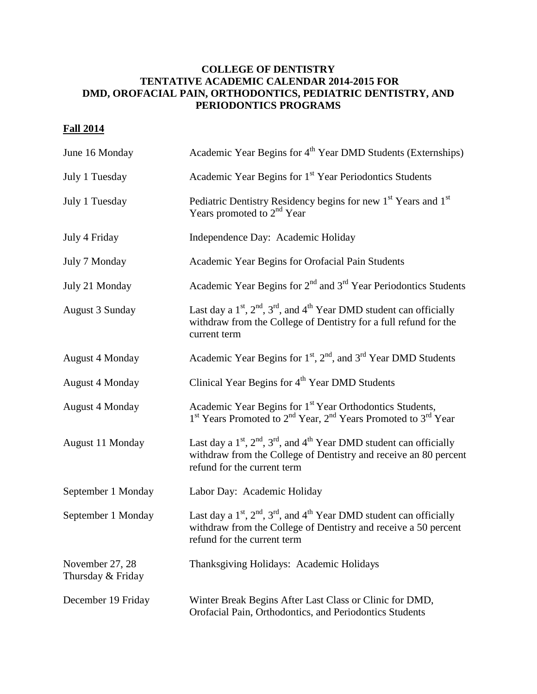## **COLLEGE OF DENTISTRY TENTATIVE ACADEMIC CALENDAR 2014-2015 FOR DMD, OROFACIAL PAIN, ORTHODONTICS, PEDIATRIC DENTISTRY, AND PERIODONTICS PROGRAMS**

## **Fall 2014**

| June 16 Monday                       | Academic Year Begins for 4 <sup>th</sup> Year DMD Students (Externships)                                                                                                               |
|--------------------------------------|----------------------------------------------------------------------------------------------------------------------------------------------------------------------------------------|
| July 1 Tuesday                       | Academic Year Begins for 1 <sup>st</sup> Year Periodontics Students                                                                                                                    |
| July 1 Tuesday                       | Pediatric Dentistry Residency begins for new 1 <sup>st</sup> Years and 1 <sup>st</sup><br>Years promoted to 2 <sup>nd</sup> Year                                                       |
| July 4 Friday                        | Independence Day: Academic Holiday                                                                                                                                                     |
| July 7 Monday                        | Academic Year Begins for Orofacial Pain Students                                                                                                                                       |
| July 21 Monday                       | Academic Year Begins for $2nd$ and $3rd$ Year Periodontics Students                                                                                                                    |
| <b>August 3 Sunday</b>               | Last day a $1st$ , $2nd$ , $3rd$ , and $4th$ Year DMD student can officially<br>withdraw from the College of Dentistry for a full refund for the<br>current term                       |
| <b>August 4 Monday</b>               | Academic Year Begins for 1 <sup>st</sup> , 2 <sup>nd</sup> , and 3 <sup>rd</sup> Year DMD Students                                                                                     |
| <b>August 4 Monday</b>               | Clinical Year Begins for 4 <sup>th</sup> Year DMD Students                                                                                                                             |
| <b>August 4 Monday</b>               | Academic Year Begins for 1 <sup>st</sup> Year Orthodontics Students,<br>1 <sup>st</sup> Years Promoted to 2 <sup>nd</sup> Year, 2 <sup>nd</sup> Years Promoted to 3 <sup>rd</sup> Year |
| August 11 Monday                     | Last day a $1st$ , $2nd$ , $3rd$ , and $4th$ Year DMD student can officially<br>withdraw from the College of Dentistry and receive an 80 percent<br>refund for the current term        |
| September 1 Monday                   | Labor Day: Academic Holiday                                                                                                                                                            |
| September 1 Monday                   | Last day a $1st$ , $2nd$ , $3rd$ , and $4th$ Year DMD student can officially<br>withdraw from the College of Dentistry and receive a 50 percent<br>refund for the current term         |
| November 27, 28<br>Thursday & Friday | Thanksgiving Holidays: Academic Holidays                                                                                                                                               |
| December 19 Friday                   | Winter Break Begins After Last Class or Clinic for DMD,<br>Orofacial Pain, Orthodontics, and Periodontics Students                                                                     |